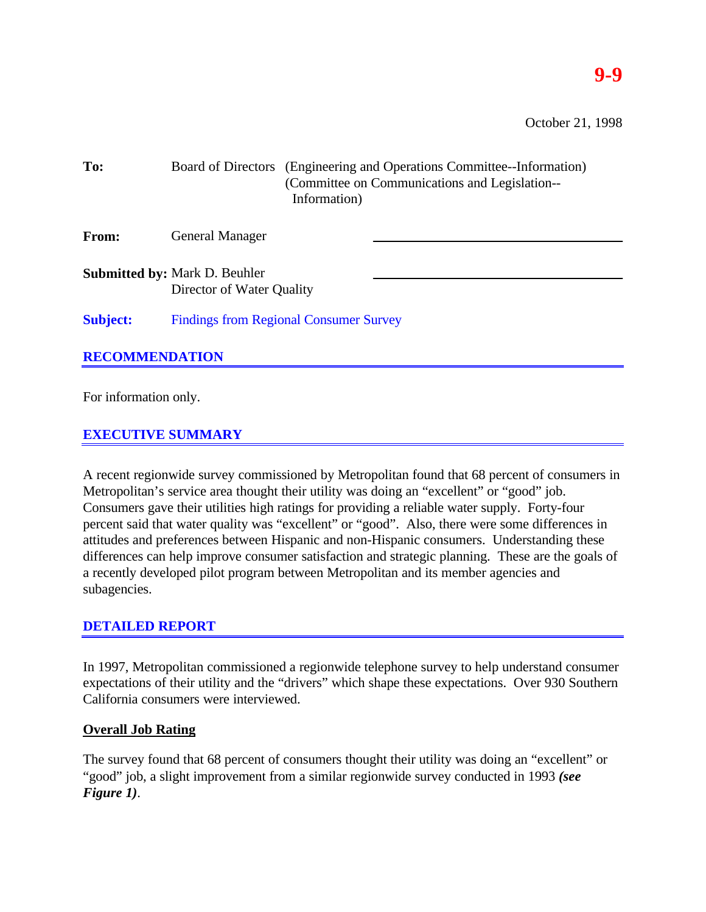### **9-9**

October 21, 1998

| To:                   |                                                                   | Information) | Board of Directors (Engineering and Operations Committee-Information)<br>(Committee on Communications and Legislation-- |
|-----------------------|-------------------------------------------------------------------|--------------|-------------------------------------------------------------------------------------------------------------------------|
| From:                 | <b>General Manager</b>                                            |              |                                                                                                                         |
|                       | <b>Submitted by: Mark D. Beuhler</b><br>Director of Water Quality |              |                                                                                                                         |
| <b>Subject:</b>       | <b>Findings from Regional Consumer Survey</b>                     |              |                                                                                                                         |
| <b>RECOMMENDATION</b> |                                                                   |              |                                                                                                                         |

For information only.

#### **EXECUTIVE SUMMARY**

A recent regionwide survey commissioned by Metropolitan found that 68 percent of consumers in Metropolitan's service area thought their utility was doing an "excellent" or "good" job. Consumers gave their utilities high ratings for providing a reliable water supply. Forty-four percent said that water quality was "excellent" or "good". Also, there were some differences in attitudes and preferences between Hispanic and non-Hispanic consumers. Understanding these differences can help improve consumer satisfaction and strategic planning. These are the goals of a recently developed pilot program between Metropolitan and its member agencies and subagencies.

#### **DETAILED REPORT**

In 1997, Metropolitan commissioned a regionwide telephone survey to help understand consumer expectations of their utility and the "drivers" which shape these expectations. Over 930 Southern California consumers were interviewed.

#### **Overall Job Rating**

The survey found that 68 percent of consumers thought their utility was doing an "excellent" or "good" job, a slight improvement from a similar regionwide survey conducted in 1993 *(see Figure 1)*.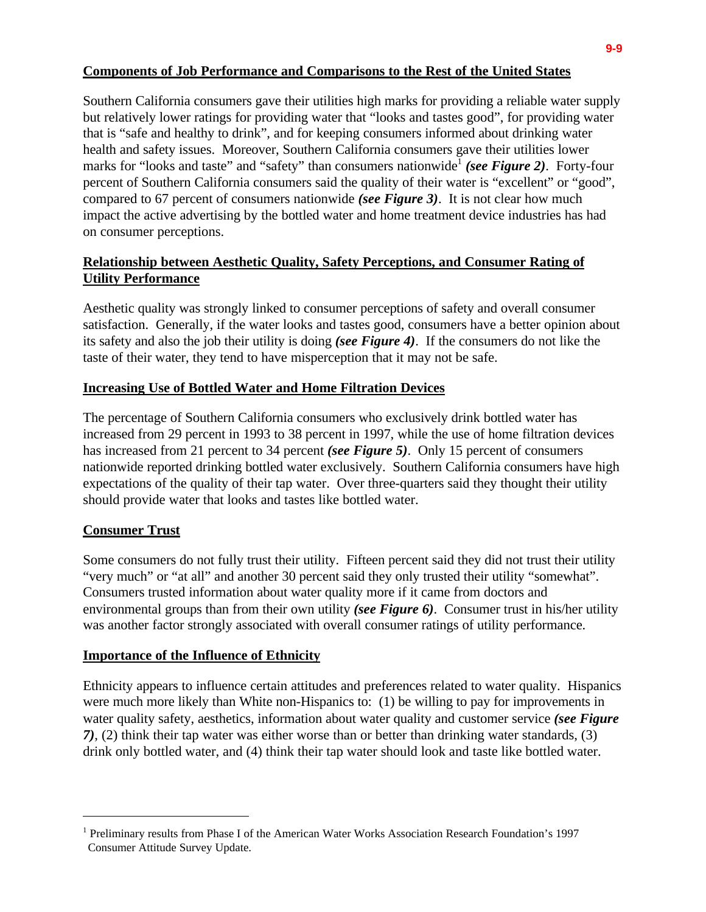#### **Components of Job Performance and Comparisons to the Rest of the United States**

Southern California consumers gave their utilities high marks for providing a reliable water supply but relatively lower ratings for providing water that "looks and tastes good", for providing water that is "safe and healthy to drink", and for keeping consumers informed about drinking water health and safety issues. Moreover, Southern California consumers gave their utilities lower marks for "looks and taste" and "safety" than consumers nationwide<sup>1</sup> (see Figure 2). Forty-four percent of Southern California consumers said the quality of their water is "excellent" or "good", compared to 67 percent of consumers nationwide *(see Figure 3)*. It is not clear how much impact the active advertising by the bottled water and home treatment device industries has had on consumer perceptions.

#### **Relationship between Aesthetic Quality, Safety Perceptions, and Consumer Rating of Utility Performance**

Aesthetic quality was strongly linked to consumer perceptions of safety and overall consumer satisfaction. Generally, if the water looks and tastes good, consumers have a better opinion about its safety and also the job their utility is doing *(see Figure 4)*. If the consumers do not like the taste of their water, they tend to have misperception that it may not be safe.

#### **Increasing Use of Bottled Water and Home Filtration Devices**

The percentage of Southern California consumers who exclusively drink bottled water has increased from 29 percent in 1993 to 38 percent in 1997, while the use of home filtration devices has increased from 21 percent to 34 percent *(see Figure 5)*. Only 15 percent of consumers nationwide reported drinking bottled water exclusively. Southern California consumers have high expectations of the quality of their tap water. Over three-quarters said they thought their utility should provide water that looks and tastes like bottled water.

#### **Consumer Trust**

 $\overline{a}$ 

Some consumers do not fully trust their utility. Fifteen percent said they did not trust their utility "very much" or "at all" and another 30 percent said they only trusted their utility "somewhat". Consumers trusted information about water quality more if it came from doctors and environmental groups than from their own utility *(see Figure 6)*. Consumer trust in his/her utility was another factor strongly associated with overall consumer ratings of utility performance.

#### **Importance of the Influence of Ethnicity**

Ethnicity appears to influence certain attitudes and preferences related to water quality. Hispanics were much more likely than White non-Hispanics to: (1) be willing to pay for improvements in water quality safety, aesthetics, information about water quality and customer service *(see Figure 7)*, (2) think their tap water was either worse than or better than drinking water standards, (3) drink only bottled water, and (4) think their tap water should look and taste like bottled water.

<sup>&</sup>lt;sup>1</sup> Preliminary results from Phase I of the American Water Works Association Research Foundation's 1997 Consumer Attitude Survey Update.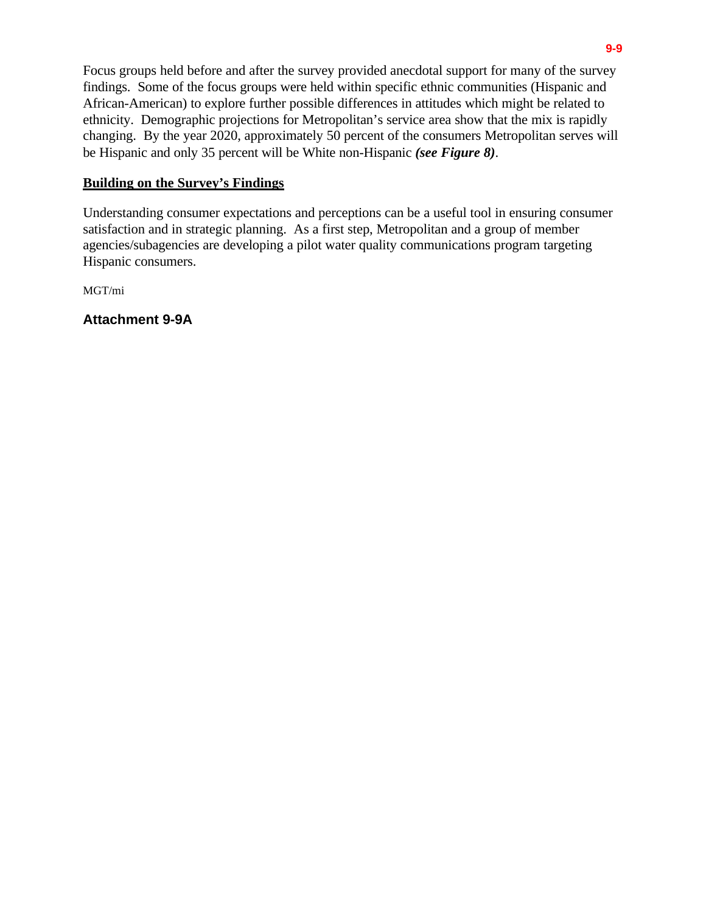Focus groups held before and after the survey provided anecdotal support for many of the survey findings. Some of the focus groups were held within specific ethnic communities (Hispanic and African-American) to explore further possible differences in attitudes which might be related to ethnicity. Demographic projections for Metropolitan's service area show that the mix is rapidly changing. By the year 2020, approximately 50 percent of the consumers Metropolitan serves will be Hispanic and only 35 percent will be White non-Hispanic *(see Figure 8)*.

#### **Building on the Survey's Findings**

Understanding consumer expectations and perceptions can be a useful tool in ensuring consumer satisfaction and in strategic planning. As a first step, Metropolitan and a group of member agencies/subagencies are developing a pilot water quality communications program targeting Hispanic consumers.

MGT/mi

**Attachment 9-9A**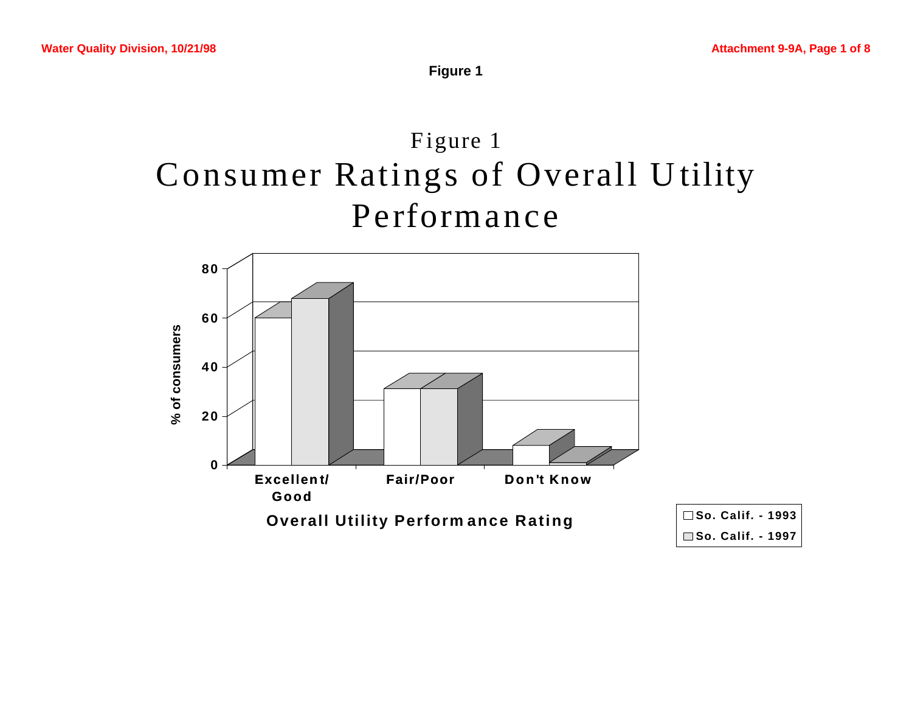**Figure 1**

## Figure 1 Consumer Ratings of Overall U tility Performance

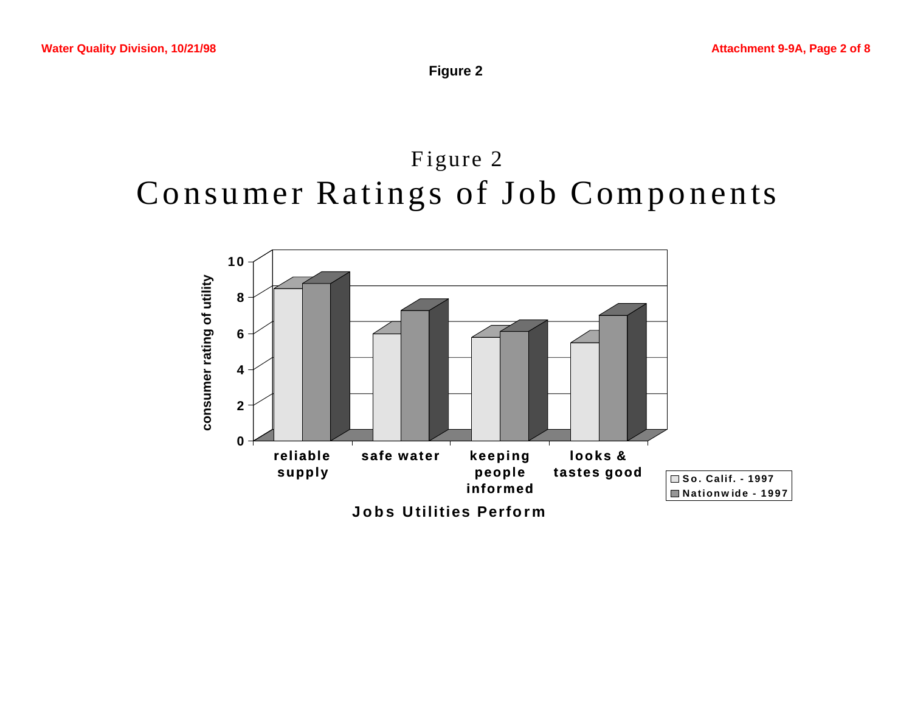**Figure 2**

### Figure 2 Consumer Ratings of Job Components

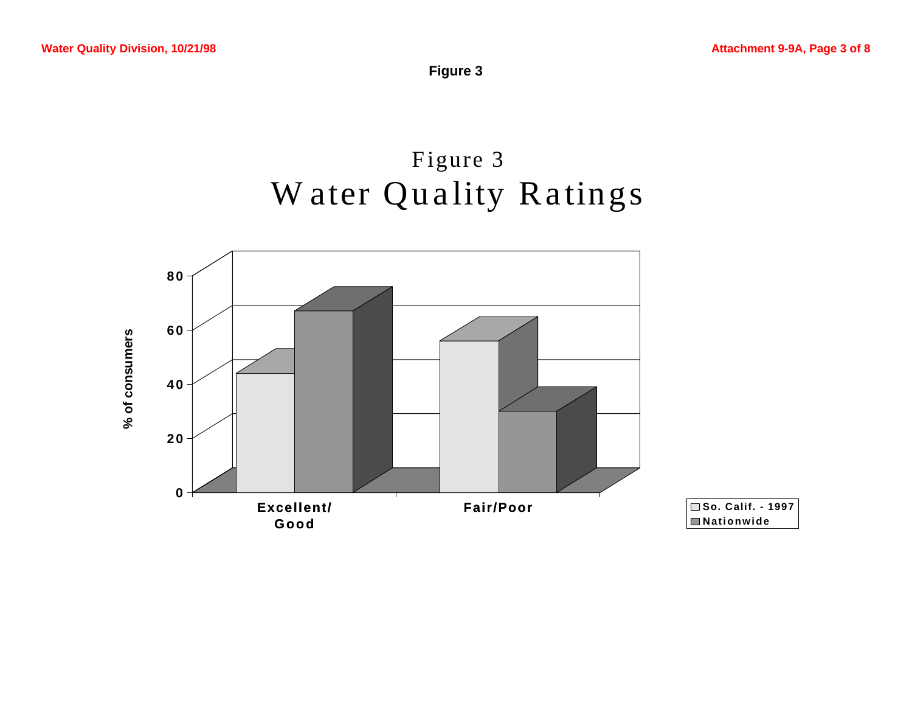**Figure 3**

## Figure 3 Water Quality Ratings

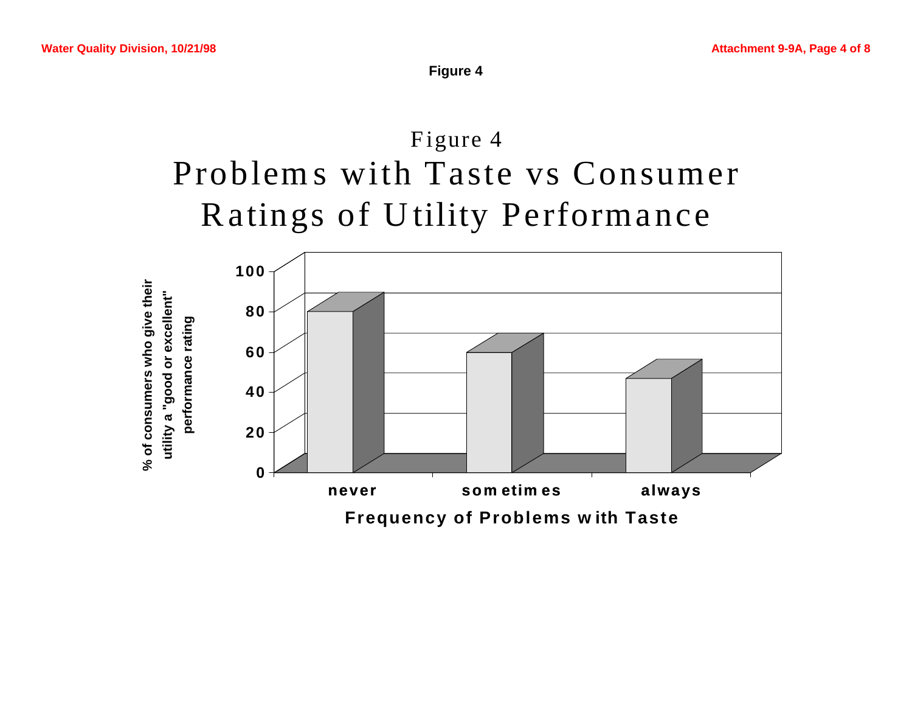

# Figure 4 Problem s with Taste vs Consumer Ra tings of U tility Performance

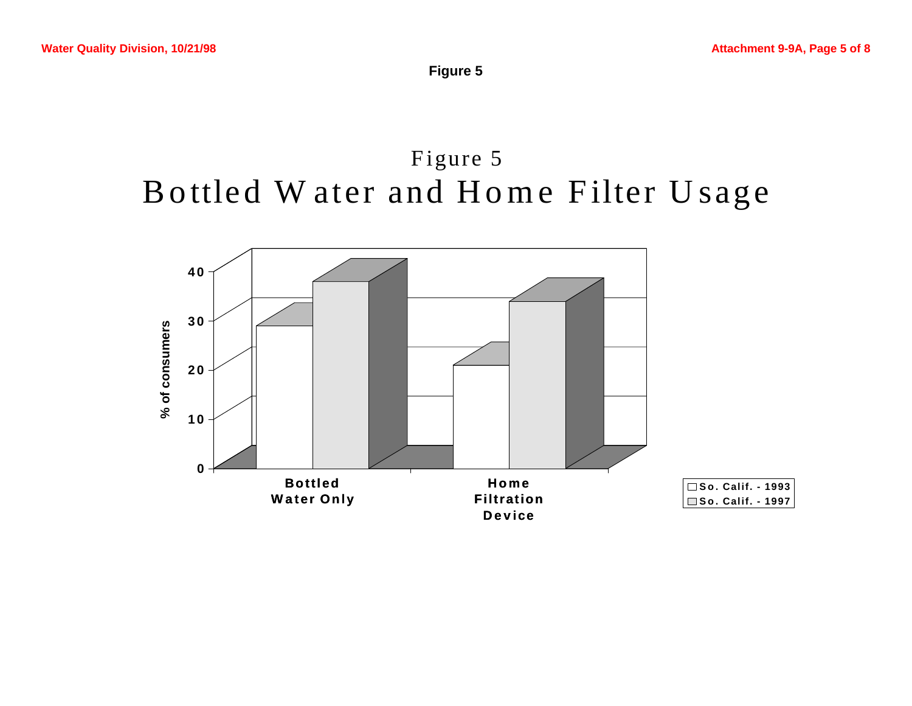**Figure 5**

### Figure 5 Bottled Water and Home Filter Usage

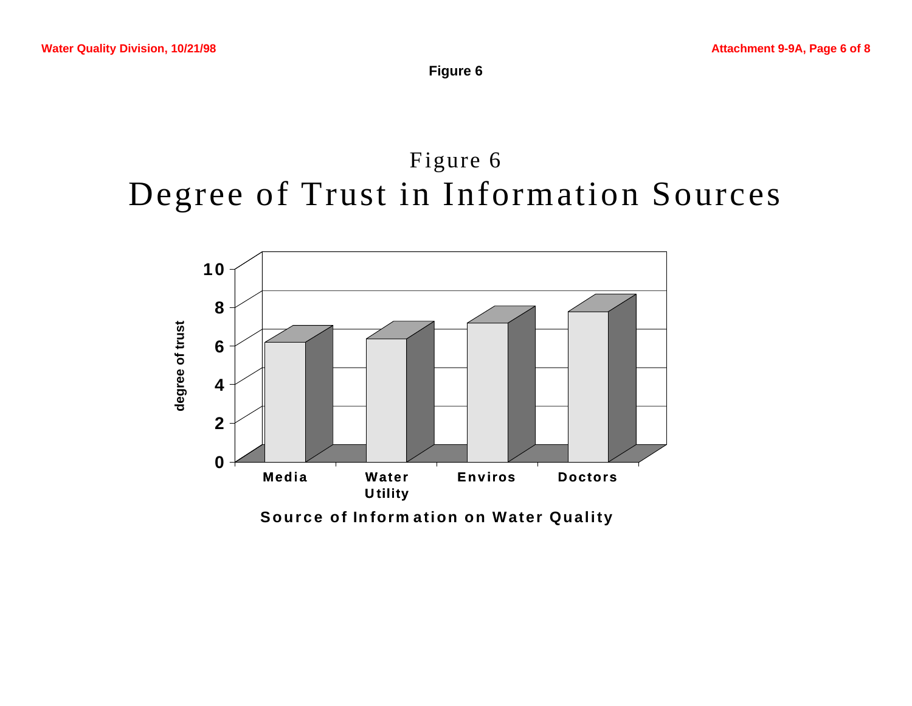**Figure 6**

## Figure 6 Degree of Trust in Information Sources

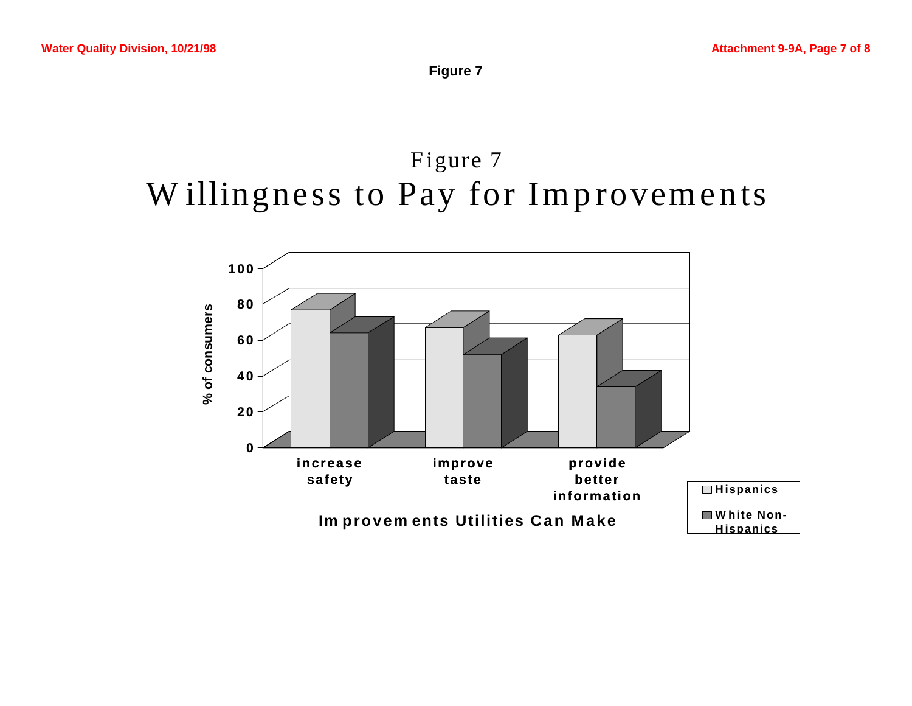**Figure 7**

## Figure 7 Willingness to Pay for Improvements